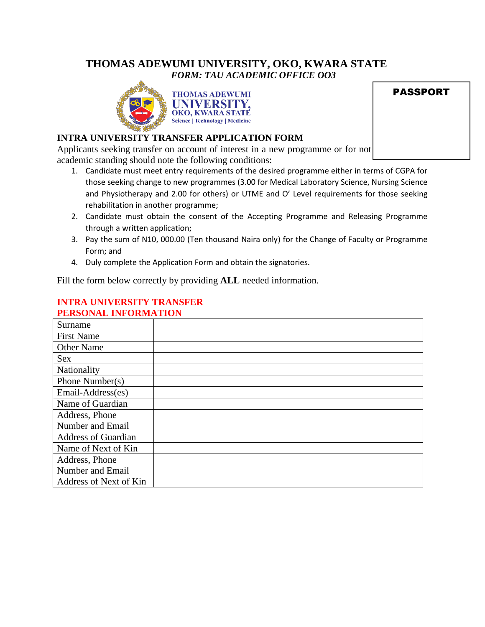# **THOMAS ADEWUMI UNIVERSITY, OKO, KWARA STATE** *FORM: TAU ACADEMIC OFFICE OO3*



|  | <b>PASSPORT</b> |
|--|-----------------|

### **INTRA UNIVERSITY TRANSFER APPLICATION FORM**

Applicants seeking transfer on account of interest in a new programme or for not academic standing should note the following conditions:

- 1. Candidate must meet entry requirements of the desired programme either in terms of CGPA for those seeking change to new programmes (3.00 for Medical Laboratory Science, Nursing Science and Physiotherapy and 2.00 for others) or UTME and O' Level requirements for those seeking rehabilitation in another programme;
- 2. Candidate must obtain the consent of the Accepting Programme and Releasing Programme through a written application;
- 3. Pay the sum of N10, 000.00 (Ten thousand Naira only) for the Change of Faculty or Programme Form; and
- 4. Duly complete the Application Form and obtain the signatories.

Fill the form below correctly by providing **ALL** needed information.

# Surname First Name Other Name Sex Nationality Phone Number(s) Email-Address(es) Name of Guardian Address, Phone Number and Email Address of Guardian Name of Next of Kin Address, Phone Number and Email Address of Next of Kin

### **INTRA UNIVERSITY TRANSFER PERSONAL INFORMATION**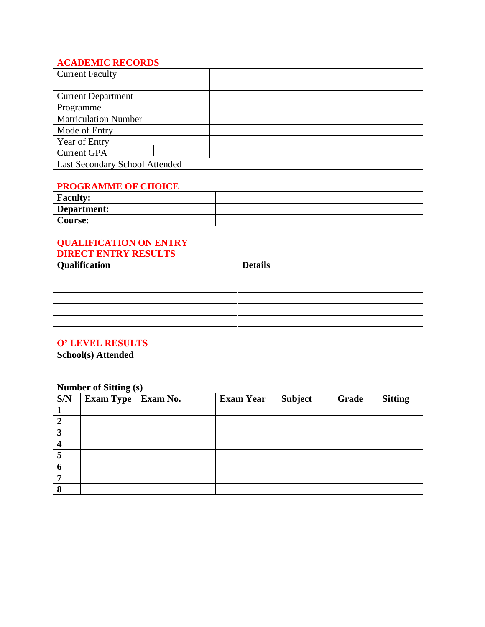# **ACADEMIC RECORDS**

| <b>Current Faculty</b>         |  |  |
|--------------------------------|--|--|
|                                |  |  |
| <b>Current Department</b>      |  |  |
| Programme                      |  |  |
| <b>Matriculation Number</b>    |  |  |
| Mode of Entry                  |  |  |
| Year of Entry                  |  |  |
| <b>Current GPA</b>             |  |  |
| Last Secondary School Attended |  |  |

#### **PROGRAMME OF CHOICE**

| <b>Faculty:</b> |  |
|-----------------|--|
| Department:     |  |
| Course:         |  |

### **QUALIFICATION ON ENTRY DIRECT ENTRY RESULTS**

| <b>Qualification</b> | <b>Details</b> |
|----------------------|----------------|
|                      |                |
|                      |                |
|                      |                |
|                      |                |

## **O' LEVEL RESULTS**

|                         | <b>School(s) Attended</b>    |          |                  |                |       |                |
|-------------------------|------------------------------|----------|------------------|----------------|-------|----------------|
|                         | <b>Number of Sitting (s)</b> |          |                  |                |       |                |
| S/N                     | <b>Exam Type</b>             | Exam No. | <b>Exam Year</b> | <b>Subject</b> | Grade | <b>Sitting</b> |
|                         |                              |          |                  |                |       |                |
| $\overline{2}$          |                              |          |                  |                |       |                |
| 3                       |                              |          |                  |                |       |                |
| $\overline{\mathbf{4}}$ |                              |          |                  |                |       |                |
| 5                       |                              |          |                  |                |       |                |
| 6                       |                              |          |                  |                |       |                |
| $\overline{7}$          |                              |          |                  |                |       |                |
| 8                       |                              |          |                  |                |       |                |